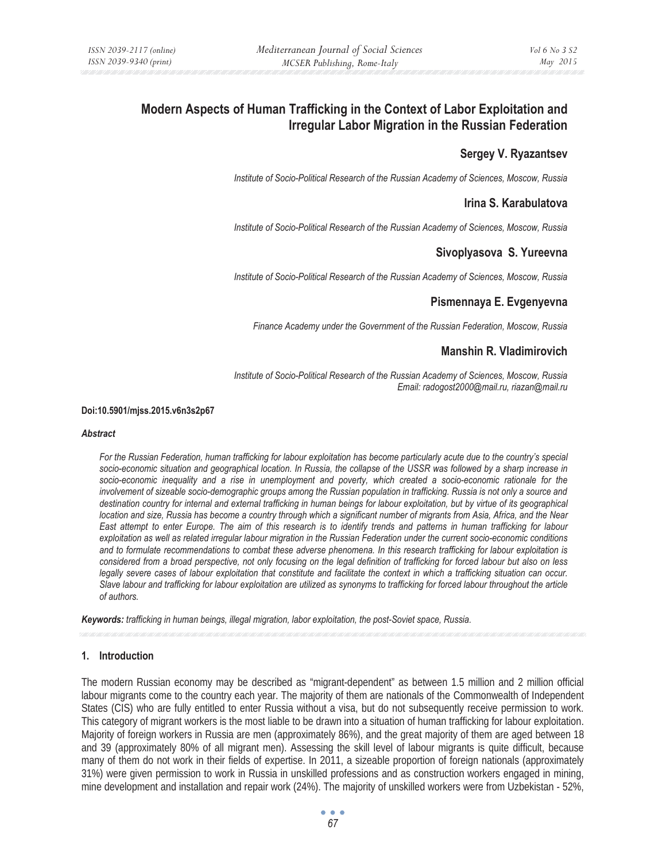# **Modern Aspects of Human Trafficking in the Context of Labor Exploitation and Irregular Labor Migration in the Russian Federation**

# **Sergey V. Ryazantsev**

*Institute of Socio-Political Research of the Russian Academy of Sciences, Moscow, Russia* 

# **Irina S. Karabulatova**

*Institute of Socio-Political Research of the Russian Academy of Sciences, Moscow, Russia* 

# **Sivoplyasova S. Yureevna**

*Institute of Socio-Political Research of the Russian Academy of Sciences, Moscow, Russia* 

# **Pismennaya E. Evgenyevna**

*Finance Academy under the Government of the Russian Federation, Moscow, Russia* 

# **Manshin R. Vladimirovich**

*Institute of Socio-Political Research of the Russian Academy of Sciences, Moscow, Russia Email: radogost2000@mail.ru, riazan@mail.ru* 

#### **Doi:10.5901/mjss.2015.v6n3s2p67**

#### *Abstract*

*For the Russian Federation, human trafficking for labour exploitation has become particularly acute due to the country's special socio-economic situation and geographical location. In Russia, the collapse of the USSR was followed by a sharp increase in*  socio-economic inequality and a rise in unemployment and poverty, which created a socio-economic rationale for the *involvement of sizeable socio-demographic groups among the Russian population in trafficking. Russia is not only a source and*  destination country for internal and external trafficking in human beings for labour exploitation, but by virtue of its geographical *location and size, Russia has become a country through which a significant number of migrants from Asia, Africa, and the Near East attempt to enter Europe. The aim of this research is to identify trends and patterns in human trafficking for labour exploitation as well as related irregular labour migration in the Russian Federation under the current socio-economic conditions and to formulate recommendations to combat these adverse phenomena. In this research trafficking for labour exploitation is considered from a broad perspective, not only focusing on the legal definition of trafficking for forced labour but also on less*  legally severe cases of labour exploitation that constitute and facilitate the context in which a trafficking situation can occur. *Slave labour and trafficking for labour exploitation are utilized as synonyms to trafficking for forced labour throughout the article of authors.* 

*Keywords: trafficking in human beings, illegal migration, labor exploitation, the post-Soviet space, Russia.*

# **1. Introduction**

The modern Russian economy may be described as "migrant-dependent" as between 1.5 million and 2 million official labour migrants come to the country each year. The majority of them are nationals of the Commonwealth of Independent States (CIS) who are fully entitled to enter Russia without a visa, but do not subsequently receive permission to work. This category of migrant workers is the most liable to be drawn into a situation of human trafficking for labour exploitation. Majority of foreign workers in Russia are men (approximately 86%), and the great majority of them are aged between 18 and 39 (approximately 80% of all migrant men). Assessing the skill level of labour migrants is quite difficult, because many of them do not work in their fields of expertise. In 2011, a sizeable proportion of foreign nationals (approximately 31%) were given permission to work in Russia in unskilled professions and as construction workers engaged in mining, mine development and installation and repair work (24%). The majority of unskilled workers were from Uzbekistan - 52%,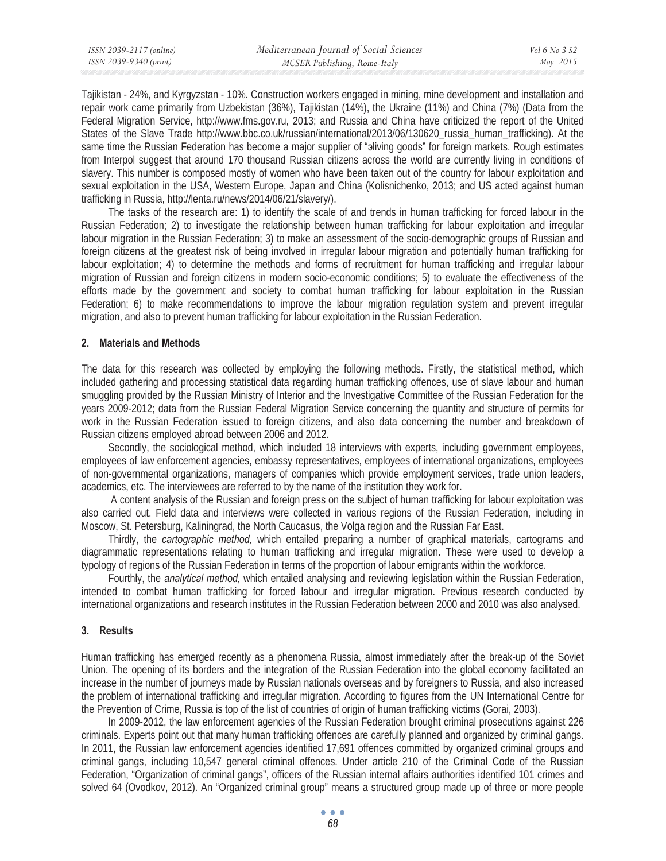| ISSN 2039-2117 (online) | Mediterranean Journal of Social Sciences | Vol 6 No 3 S2 |
|-------------------------|------------------------------------------|---------------|
| ISSN 2039-9340 (print)  | MCSER Publishing, Rome-Italy             | May 2015      |

Tajikistan - 24%, and Kyrgyzstan - 10%. Construction workers engaged in mining, mine development and installation and repair work came primarily from Uzbekistan (36%), Tajikistan (14%), the Ukraine (11%) and China (7%) (Data from the Federal Migration Service, http://www.fms.gov.ru, 2013; and Russia and China have criticized the report of the United States of the Slave Trade http://www.bbc.co.uk/russian/international/2013/06/130620\_russia\_human\_trafficking). At the same time the Russian Federation has become a major supplier of "aliving goods" for foreign markets. Rough estimates from Interpol suggest that around 170 thousand Russian citizens across the world are currently living in conditions of slavery. This number is composed mostly of women who have been taken out of the country for labour exploitation and sexual exploitation in the USA, Western Europe, Japan and China (Kolisnichenko, 2013; and US acted against human trafficking in Russia, http://lenta.ru/news/2014/06/21/slavery/).

The tasks of the research are: 1) to identify the scale of and trends in human trafficking for forced labour in the Russian Federation; 2) to investigate the relationship between human trafficking for labour exploitation and irregular labour migration in the Russian Federation; 3) to make an assessment of the socio-demographic groups of Russian and foreign citizens at the greatest risk of being involved in irregular labour migration and potentially human trafficking for labour exploitation; 4) to determine the methods and forms of recruitment for human trafficking and irregular labour migration of Russian and foreign citizens in modern socio-economic conditions; 5) to evaluate the effectiveness of the efforts made by the government and society to combat human trafficking for labour exploitation in the Russian Federation; 6) to make recommendations to improve the labour migration regulation system and prevent irregular migration, and also to prevent human trafficking for labour exploitation in the Russian Federation.

### **2. Materials and Methods**

The data for this research was collected by employing the following methods. Firstly, the statistical method, which included gathering and processing statistical data regarding human trafficking offences, use of slave labour and human smuggling provided by the Russian Ministry of Interior and the Investigative Committee of the Russian Federation for the years 2009-2012; data from the Russian Federal Migration Service concerning the quantity and structure of permits for work in the Russian Federation issued to foreign citizens, and also data concerning the number and breakdown of Russian citizens employed abroad between 2006 and 2012.

Secondly, the sociological method, which included 18 interviews with experts, including government employees, employees of law enforcement agencies, embassy representatives, employees of international organizations, employees of non-governmental organizations, managers of companies which provide employment services, trade union leaders, academics, etc. The interviewees are referred to by the name of the institution they work for.

 A content analysis of the Russian and foreign press on the subject of human trafficking for labour exploitation was also carried out. Field data and interviews were collected in various regions of the Russian Federation, including in Moscow, St. Petersburg, Kaliningrad, the North Caucasus, the Volga region and the Russian Far East.

Thirdly, the *cartographic method,* which entailed preparing a number of graphical materials, cartograms and diagrammatic representations relating to human trafficking and irregular migration. These were used to develop a typology of regions of the Russian Federation in terms of the proportion of labour emigrants within the workforce.

Fourthly, the *analytical method,* which entailed analysing and reviewing legislation within the Russian Federation, intended to combat human trafficking for forced labour and irregular migration. Previous research conducted by international organizations and research institutes in the Russian Federation between 2000 and 2010 was also analysed.

#### **3. Results**

Human trafficking has emerged recently as a phenomena Russia, almost immediately after the break-up of the Soviet Union. The opening of its borders and the integration of the Russian Federation into the global economy facilitated an increase in the number of journeys made by Russian nationals overseas and by foreigners to Russia, and also increased the problem of international trafficking and irregular migration. According to figures from the UN International Centre for the Prevention of Crime, Russia is top of the list of countries of origin of human trafficking victims (Gorai, 2003).

In 2009-2012, the law enforcement agencies of the Russian Federation brought criminal prosecutions against 226 criminals. Experts point out that many human trafficking offences are carefully planned and organized by criminal gangs. In 2011, the Russian law enforcement agencies identified 17,691 offences committed by organized criminal groups and criminal gangs, including 10,547 general criminal offences. Under article 210 of the Criminal Code of the Russian Federation, "Organization of criminal gangs", officers of the Russian internal affairs authorities identified 101 crimes and solved 64 (Ovodkov, 2012). An "Organized criminal group" means a structured group made up of three or more people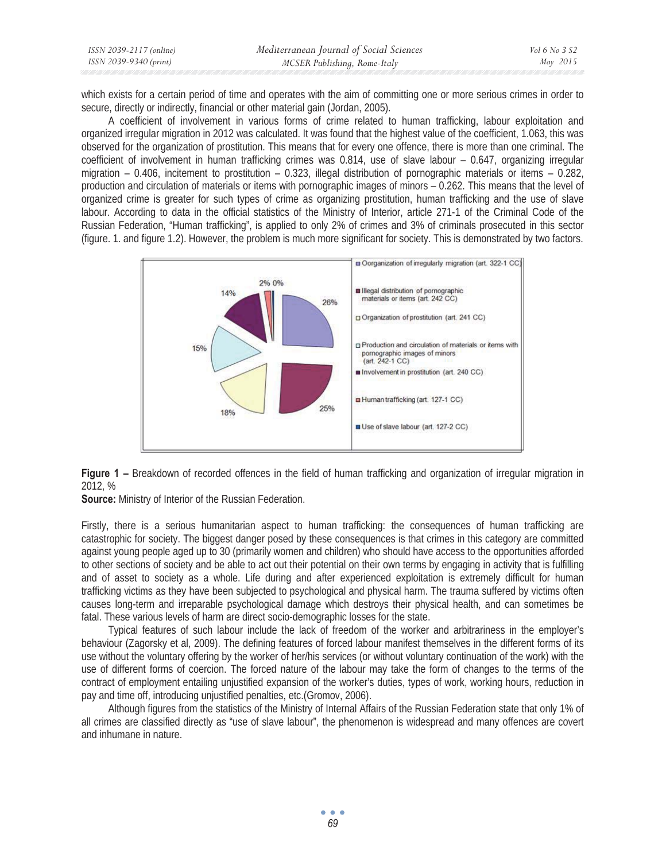| ISSN 2039-2117 (online) | Mediterranean Journal of Social Sciences | Vol 6 No 3 S2 |
|-------------------------|------------------------------------------|---------------|
| ISSN 2039-9340 (print)  | MCSER Publishing, Rome-Italy             | May 2015      |

which exists for a certain period of time and operates with the aim of committing one or more serious crimes in order to secure, directly or indirectly, financial or other material gain (Jordan, 2005).

A coefficient of involvement in various forms of crime related to human trafficking, labour exploitation and organized irregular migration in 2012 was calculated. It was found that the highest value of the coefficient, 1.063, this was observed for the organization of prostitution. This means that for every one offence, there is more than one criminal. The coefficient of involvement in human trafficking crimes was 0.814, use of slave labour – 0.647, organizing irregular migration – 0.406, incitement to prostitution – 0.323, illegal distribution of pornographic materials or items – 0.282, production and circulation of materials or items with pornographic images of minors – 0.262. This means that the level of organized crime is greater for such types of crime as organizing prostitution, human trafficking and the use of slave labour. According to data in the official statistics of the Ministry of Interior, article 271-1 of the Criminal Code of the Russian Federation, "Human trafficking", is applied to only 2% of crimes and 3% of criminals prosecuted in this sector (figure. 1. and figure 1.2). However, the problem is much more significant for society. This is demonstrated by two factors.





**Source:** Ministry of Interior of the Russian Federation.

Firstly, there is a serious humanitarian aspect to human trafficking: the consequences of human trafficking are catastrophic for society. The biggest danger posed by these consequences is that crimes in this category are committed against young people aged up to 30 (primarily women and children) who should have access to the opportunities afforded to other sections of society and be able to act out their potential on their own terms by engaging in activity that is fulfilling and of asset to society as a whole. Life during and after experienced exploitation is extremely difficult for human trafficking victims as they have been subjected to psychological and physical harm. The trauma suffered by victims often causes long-term and irreparable psychological damage which destroys their physical health, and can sometimes be fatal. These various levels of harm are direct socio-demographic losses for the state.

Typical features of such labour include the lack of freedom of the worker and arbitrariness in the employer's behaviour (Zagorsky et al, 2009). The defining features of forced labour manifest themselves in the different forms of its use without the voluntary offering by the worker of her/his services (or without voluntary continuation of the work) with the use of different forms of coercion. The forced nature of the labour may take the form of changes to the terms of the contract of employment entailing unjustified expansion of the worker's duties, types of work, working hours, reduction in pay and time off, introducing unjustified penalties, etc.(Gromov, 2006).

Although figures from the statistics of the Ministry of Internal Affairs of the Russian Federation state that only 1% of all crimes are classified directly as "use of slave labour", the phenomenon is widespread and many offences are covert and inhumane in nature.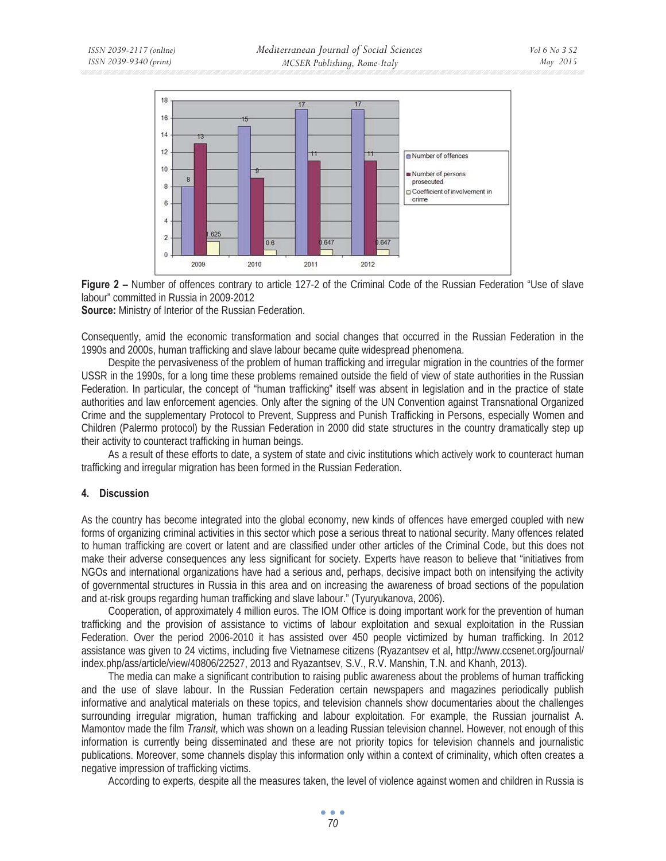

**Figure 2 –** Number of offences contrary to article 127-2 of the Criminal Code of the Russian Federation "Use of slave labour" committed in Russia in 2009-2012

**Source:** Ministry of Interior of the Russian Federation.

Consequently, amid the economic transformation and social changes that occurred in the Russian Federation in the 1990s and 2000s, human trafficking and slave labour became quite widespread phenomena.

Despite the pervasiveness of the problem of human trafficking and irregular migration in the countries of the former USSR in the 1990s, for a long time these problems remained outside the field of view of state authorities in the Russian Federation. In particular, the concept of "human trafficking" itself was absent in legislation and in the practice of state authorities and law enforcement agencies. Only after the signing of the UN Convention against Transnational Organized Crime and the supplementary Protocol to Prevent, Suppress and Punish Trafficking in Persons, especially Women and Children (Palermo protocol) by the Russian Federation in 2000 did state structures in the country dramatically step up their activity to counteract trafficking in human beings.

As a result of these efforts to date, a system of state and civic institutions which actively work to counteract human trafficking and irregular migration has been formed in the Russian Federation.

#### **4. Discussion**

As the country has become integrated into the global economy, new kinds of offences have emerged coupled with new forms of organizing criminal activities in this sector which pose a serious threat to national security. Many offences related to human trafficking are covert or latent and are classified under other articles of the Criminal Code, but this does not make their adverse consequences any less significant for society. Experts have reason to believe that "initiatives from NGOs and international organizations have had a serious and, perhaps, decisive impact both on intensifying the activity of governmental structures in Russia in this area and on increasing the awareness of broad sections of the population and at-risk groups regarding human trafficking and slave labour." (Tyuryukanova, 2006).

Cooperation, of approximately 4 million euros. The IOM Office is doing important work for the prevention of human trafficking and the provision of assistance to victims of labour exploitation and sexual exploitation in the Russian Federation. Over the period 2006-2010 it has assisted over 450 people victimized by human trafficking. In 2012 assistance was given to 24 victims, including five Vietnamese citizens (Ryazantsev et al, http://www.ccsenet.org/journal/ index.php/ass/article/view/40806/22527, 2013 and Ryazantsev, S.V., R.V. Manshin, T.N. and Khanh, 2013).

The media can make a significant contribution to raising public awareness about the problems of human trafficking and the use of slave labour. In the Russian Federation certain newspapers and magazines periodically publish informative and analytical materials on these topics, and television channels show documentaries about the challenges surrounding irregular migration, human trafficking and labour exploitation. For example, the Russian journalist A. Mamontov made the film *Transit*, which was shown on a leading Russian television channel. However, not enough of this information is currently being disseminated and these are not priority topics for television channels and journalistic publications. Moreover, some channels display this information only within a context of criminality, which often creates a negative impression of trafficking victims.

According to experts, despite all the measures taken, the level of violence against women and children in Russia is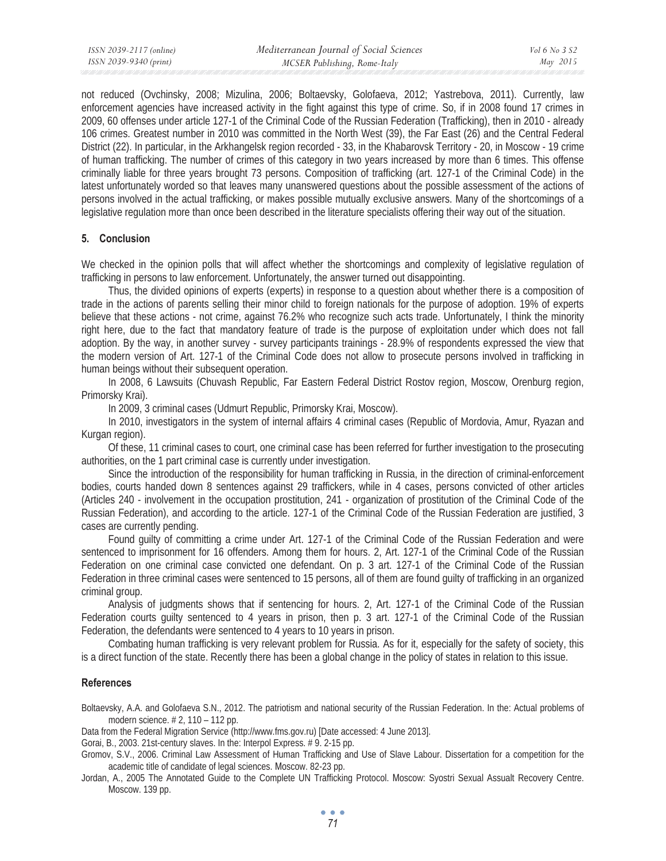not reduced (Ovchinsky, 2008; Mizulina, 2006; Boltaevsky, Golofaeva, 2012; Yastrebova, 2011). Currently, law enforcement agencies have increased activity in the fight against this type of crime. So, if in 2008 found 17 crimes in 2009, 60 offenses under article 127-1 of the Criminal Code of the Russian Federation (Trafficking), then in 2010 - already 106 crimes. Greatest number in 2010 was committed in the North West (39), the Far East (26) and the Central Federal District (22). In particular, in the Arkhangelsk region recorded - 33, in the Khabarovsk Territory - 20, in Moscow - 19 crime of human trafficking. The number of crimes of this category in two years increased by more than 6 times. This offense criminally liable for three years brought 73 persons. Composition of trafficking (art. 127-1 of the Criminal Code) in the latest unfortunately worded so that leaves many unanswered questions about the possible assessment of the actions of persons involved in the actual trafficking, or makes possible mutually exclusive answers. Many of the shortcomings of a legislative regulation more than once been described in the literature specialists offering their way out of the situation.

### **5. Conclusion**

We checked in the opinion polls that will affect whether the shortcomings and complexity of legislative regulation of trafficking in persons to law enforcement. Unfortunately, the answer turned out disappointing.

Thus, the divided opinions of experts (experts) in response to a question about whether there is a composition of trade in the actions of parents selling their minor child to foreign nationals for the purpose of adoption. 19% of experts believe that these actions - not crime, against 76.2% who recognize such acts trade. Unfortunately, I think the minority right here, due to the fact that mandatory feature of trade is the purpose of exploitation under which does not fall adoption. By the way, in another survey - survey participants trainings - 28.9% of respondents expressed the view that the modern version of Art. 127-1 of the Criminal Code does not allow to prosecute persons involved in trafficking in human beings without their subsequent operation.

In 2008, 6 Lawsuits (Chuvash Republic, Far Eastern Federal District Rostov region, Moscow, Orenburg region, Primorsky Krai).

In 2009, 3 criminal cases (Udmurt Republic, Primorsky Krai, Moscow).

In 2010, investigators in the system of internal affairs 4 criminal cases (Republic of Mordovia, Amur, Ryazan and Kurgan region).

Of these, 11 criminal cases to court, one criminal case has been referred for further investigation to the prosecuting authorities, on the 1 part criminal case is currently under investigation.

Since the introduction of the responsibility for human trafficking in Russia, in the direction of criminal-enforcement bodies, courts handed down 8 sentences against 29 traffickers, while in 4 cases, persons convicted of other articles (Articles 240 - involvement in the occupation prostitution, 241 - organization of prostitution of the Criminal Code of the Russian Federation), and according to the article. 127-1 of the Criminal Code of the Russian Federation are justified, 3 cases are currently pending.

Found guilty of committing a crime under Art. 127-1 of the Criminal Code of the Russian Federation and were sentenced to imprisonment for 16 offenders. Among them for hours. 2, Art. 127-1 of the Criminal Code of the Russian Federation on one criminal case convicted one defendant. On p. 3 art. 127-1 of the Criminal Code of the Russian Federation in three criminal cases were sentenced to 15 persons, all of them are found guilty of trafficking in an organized criminal group.

Analysis of judgments shows that if sentencing for hours. 2, Art. 127-1 of the Criminal Code of the Russian Federation courts guilty sentenced to 4 years in prison, then p. 3 art. 127-1 of the Criminal Code of the Russian Federation, the defendants were sentenced to 4 years to 10 years in prison.

Combating human trafficking is very relevant problem for Russia. As for it, especially for the safety of society, this is a direct function of the state. Recently there has been a global change in the policy of states in relation to this issue.

# **References**

Boltaevsky, A.A. and Golofaeva S.N., 2012. The patriotism and national security of the Russian Federation. In the: Actual problems of modern science. # 2, 110 – 112 pp.

Data from the Federal Migration Service (http://www.fms.gov.ru) [Date accessed: 4 June 2013].

Gorai, B., 2003. 21st-century slaves. In the: Interpol Express. # 9. 2-15 pp.

Gromov, S.V., 2006. Criminal Law Assessment of Human Trafficking and Use of Slave Labour. Dissertation for a competition for the academic title of candidate of legal sciences. Moscow. 82-23 pp.

Jordan, A., 2005 The Annotated Guide to the Complete UN Trafficking Protocol. Moscow: Syostri Sexual Assualt Recovery Centre. Moscow. 139 pp.